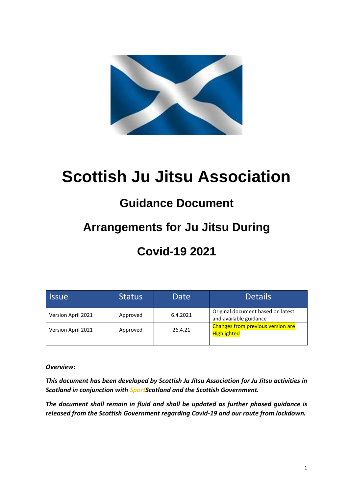

# **Scottish Ju Jitsu Association**

## **Guidance Document**

## **Arrangements for Ju Jitsu During**

## **Covid-19 2021**

| <b>Issue</b>       | <b>Status</b> | Date     | <b>Details</b>                                              |
|--------------------|---------------|----------|-------------------------------------------------------------|
| Version April 2021 | Approved      | 6.4.2021 | Original document based on latest<br>and available guidance |
| Version April 2021 | Approved      | 26.4.21  | Changes from previous version are<br><b>Highlighted</b>     |
|                    |               |          |                                                             |

*Overview:*

*This document has been developed by Scottish Ju Jitsu Association for Ju Jitsu activities in Scotland in conjunction with SportScotland and the Scottish Government.*

*The document shall remain in fluid and shall be updated as further phased guidance is released from the Scottish Government regarding Covid-19 and our route from lockdown.*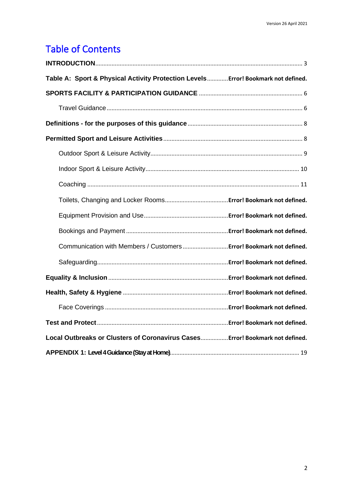## Table of Contents

| Table A: Sport & Physical Activity Protection Levels Error! Bookmark not defined. |  |
|-----------------------------------------------------------------------------------|--|
|                                                                                   |  |
|                                                                                   |  |
|                                                                                   |  |
|                                                                                   |  |
|                                                                                   |  |
|                                                                                   |  |
|                                                                                   |  |
|                                                                                   |  |
|                                                                                   |  |
|                                                                                   |  |
| Communication with Members / Customers  Error! Bookmark not defined.              |  |
|                                                                                   |  |
|                                                                                   |  |
|                                                                                   |  |
|                                                                                   |  |
|                                                                                   |  |
| Local Outbreaks or Clusters of Coronavirus Cases Error! Bookmark not defined.     |  |
|                                                                                   |  |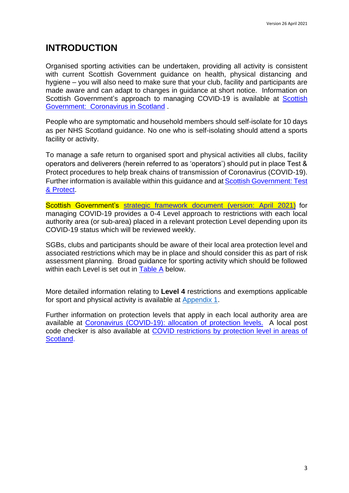### <span id="page-2-0"></span>**INTRODUCTION**

Organised sporting activities can be undertaken, providing all activity is consistent with current Scottish Government guidance on health, physical distancing and hygiene – you will also need to make sure that your club, facility and participants are made aware and can adapt to changes in guidance at short notice. Information on [Scottish](http://www.gov.scot/coronavirus-covid-19/) Government's approach to managing COVID-19 is available at Scottish [Government: Coronavirus in Scotland](http://www.gov.scot/coronavirus-covid-19/) .

People who are symptomatic and household members should self-isolate for 10 days as per NHS Scotland guidance. No one who is self-isolating should attend a sports facility or activity.

To manage a safe return to organised sport and physical activities all clubs, facility operators and deliverers (herein referred to as 'operators') should put in place Test & Protect procedures to help break chains of transmission of Coronavirus (COVID-19). Further information is available within this guidance and at [Scottish Government: Test](http://www.gov.scot/publications/coronavirus-covid-19-test-and-protect/)  [& Protect.](http://www.gov.scot/publications/coronavirus-covid-19-test-and-protect/)

Scottish Government's [strategic framework document \(version: April](https://www.gov.scot/publications/coronavirus-covid-19-strategic-framework-update-february-2021/) 2021) for managing COVID-19 provides a 0-4 Level approach to restrictions with each local authority area (or sub-area) placed in a relevant protection Level depending upon its COVID-19 status which will be reviewed weekly.

SGBs, clubs and participants should be aware of their local area protection level and associated restrictions which may be in place and should consider this as part of risk assessment planning. Broad guidance for sporting activity which should be followed within each Level is set out in Table A below.

More detailed information relating to **Level 4** restrictions and exemptions applicable for sport and physical activity is available at [Appendix 1.](https://mail.aol.com/webmail-std/en-gb/suite#_APPENDIX_1:_Level)

Further information on protection levels that apply in each local authority area are available at [Coronavirus \(COVID-19\): allocation of protection levels.](https://www.gov.scot/publications/coronavirus-covid-19-protection-levels/) A local post code checker is also available at [COVID restrictions by protection level in areas of](http://www.gov.scot/check-local-covid-level/)  [Scotland.](http://www.gov.scot/check-local-covid-level/)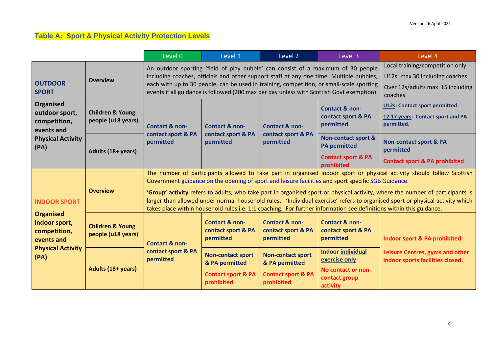## **Table A: Sport & Physical Activity Protection Levels**

|                                                                                                                                 |                                                   | Level 0                                                                                                                                                                                                                                                                                                                                                                                                                                                                                                                                                                                                              | Level 1                                                      | Level 2                                                                                   | Level 3                                                                                              | Level 4                                                                                                             |
|---------------------------------------------------------------------------------------------------------------------------------|---------------------------------------------------|----------------------------------------------------------------------------------------------------------------------------------------------------------------------------------------------------------------------------------------------------------------------------------------------------------------------------------------------------------------------------------------------------------------------------------------------------------------------------------------------------------------------------------------------------------------------------------------------------------------------|--------------------------------------------------------------|-------------------------------------------------------------------------------------------|------------------------------------------------------------------------------------------------------|---------------------------------------------------------------------------------------------------------------------|
| <b>OUTDOOR</b><br><b>SPORT</b><br>Organised<br>outdoor sport,<br>competition,<br>events and<br><b>Physical Activity</b><br>(PA) | <b>Overview</b>                                   | An outdoor sporting 'field of play bubble' can consist of a maximum of 30 people<br>including coaches, officials and other support staff at any one time. Multiple bubbles,<br>each with up to 30 people, can be used in training, competition, or small-scale sporting<br>events if all guidance is followed (200 max per day unless with Scottish Govt exemption).                                                                                                                                                                                                                                                 |                                                              |                                                                                           |                                                                                                      | Local training/competition only.<br>U12s: max 30 including coaches.<br>Over 12s/adults max 15 including<br>coaches. |
|                                                                                                                                 | <b>Children &amp; Young</b><br>people (u18 years) | Contact & non-<br>contact sport & PA<br>permitted                                                                                                                                                                                                                                                                                                                                                                                                                                                                                                                                                                    | <b>Contact &amp; non-</b><br>contact sport & PA<br>permitted | <b>Contact &amp; non-</b><br>contact sport & PA<br>permitted                              | <b>Contact &amp; non-</b><br>contact sport & PA<br>permitted                                         | <b>U12s: Contact sport permitted</b><br>12-17 years: Contact sport and PA<br>permitted.                             |
|                                                                                                                                 | Adults (18+ years)                                |                                                                                                                                                                                                                                                                                                                                                                                                                                                                                                                                                                                                                      |                                                              |                                                                                           | <b>Non-contact sport &amp;</b><br><b>PA</b> permitted<br><b>Contact sport &amp; PA</b><br>prohibited | <b>Non-contact sport &amp; PA</b><br>permitted<br><b>Contact sport &amp; PA prohibited</b>                          |
| <b>INDOOR SPORT</b><br><b>Organised</b><br>indoor sport,<br>competition,<br>events and<br><b>Physical Activity</b><br>(PA)      | <b>Overview</b>                                   | The number of participants allowed to take part in organised indoor sport or physical activity should follow Scottish<br>Government guidance on the opening of sport and leisure facilities and sport specific SGB Guidance.<br>'Group' activity refers to adults, who take part in organised sport or physical activity, where the number of participants is<br>larger than allowed under normal household rules. 'Individual exercise' refers to organised sport or physical activity which<br>takes place within household rules i.e. 1:1 coaching. For further information see definitions within this guidance. |                                                              |                                                                                           |                                                                                                      |                                                                                                                     |
|                                                                                                                                 | <b>Children &amp; Young</b><br>people (u18 years) | <b>Contact &amp; non-</b>                                                                                                                                                                                                                                                                                                                                                                                                                                                                                                                                                                                            | <b>Contact &amp; non-</b><br>contact sport & PA<br>permitted | Contact & non-<br>contact sport & PA<br>permitted                                         | <b>Contact &amp; non-</b><br>contact sport & PA<br>permitted                                         | Indoor sport & PA prohibited:                                                                                       |
|                                                                                                                                 |                                                   | Adults (18+ years)                                                                                                                                                                                                                                                                                                                                                                                                                                                                                                                                                                                                   | contact sport & PA<br>permitted                              | <b>Non-contact sport</b><br>& PA permitted<br><b>Contact sport &amp; PA</b><br>prohibited | <b>Non-contact sport</b><br>& PA permitted<br><b>Contact sport &amp; PA</b><br>prohibited            | <b>Indoor individual</b><br>exercise only<br>No contact or non-<br>contact group<br>activity                        |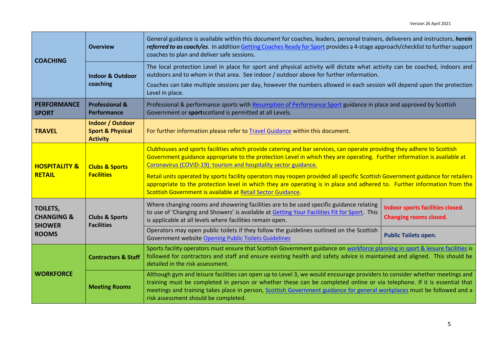| <b>COACHING</b>                                                           | <b>Overview</b>                                                           | General guidance is available within this document for coaches, leaders, personal trainers, deliverers and instructors, herein<br>referred to as coach/es. In addition Getting Coaches Ready for Sport provides a 4-stage approach/checklist to further support<br>coaches to plan and deliver safe sessions.                                                                                                                                                                                                                                                                                                                                        |                                                                   |  |  |
|---------------------------------------------------------------------------|---------------------------------------------------------------------------|------------------------------------------------------------------------------------------------------------------------------------------------------------------------------------------------------------------------------------------------------------------------------------------------------------------------------------------------------------------------------------------------------------------------------------------------------------------------------------------------------------------------------------------------------------------------------------------------------------------------------------------------------|-------------------------------------------------------------------|--|--|
|                                                                           | <b>Indoor &amp; Outdoor</b><br>coaching                                   | The local protection Level in place for sport and physical activity will dictate what activity can be coached, indoors and<br>outdoors and to whom in that area. See indoor / outdoor above for further information.                                                                                                                                                                                                                                                                                                                                                                                                                                 |                                                                   |  |  |
|                                                                           |                                                                           | Coaches can take multiple sessions per day, however the numbers allowed in each session will depend upon the protection<br>Level in place.                                                                                                                                                                                                                                                                                                                                                                                                                                                                                                           |                                                                   |  |  |
| <b>PERFORMANCE</b><br><b>SPORT</b>                                        | <b>Professional &amp;</b><br><b>Performance</b>                           | Professional & performance sports with Resumption of Performance Sport guidance in place and approved by Scottish<br>Government or sportscotland is permitted at all Levels.                                                                                                                                                                                                                                                                                                                                                                                                                                                                         |                                                                   |  |  |
| <b>TRAVEL</b>                                                             | <b>Indoor / Outdoor</b><br><b>Sport &amp; Physical</b><br><b>Activity</b> | For further information please refer to Travel Guidance within this document.                                                                                                                                                                                                                                                                                                                                                                                                                                                                                                                                                                        |                                                                   |  |  |
| <b>HOSPITALITY &amp;</b><br><b>RETAIL</b>                                 | <b>Clubs &amp; Sports</b><br><b>Facilities</b>                            | Clubhouses and sports facilities which provide catering and bar services, can operate providing they adhere to Scottish<br>Government guidance appropriate to the protection Level in which they are operating. Further information is available at<br>Coronavirus (COVID-19): tourism and hospitality sector guidance.<br>Retail units operated by sports facility operators may reopen provided all specific Scottish Government guidance for retailers<br>appropriate to the protection level in which they are operating is in place and adhered to. Further information from the<br>Scottish Government is available at Retail Sector Guidance. |                                                                   |  |  |
| <b>TOILETS,</b><br><b>CHANGING &amp;</b><br><b>SHOWER</b><br><b>ROOMS</b> | <b>Clubs &amp; Sports</b><br><b>Facilities</b>                            | Where changing rooms and showering facilities are to be used specific guidance relating<br>to use of 'Changing and Showers' is available at Getting Your Facilities Fit for Sport This<br>is applicable at all levels where facilities remain open.                                                                                                                                                                                                                                                                                                                                                                                                  | Indoor sports facilities closed.<br><b>Changing rooms closed.</b> |  |  |
|                                                                           |                                                                           | Operators may open public toilets if they follow the guidelines outlined on the Scottish<br>Government website Opening Public Toilets Guidelines                                                                                                                                                                                                                                                                                                                                                                                                                                                                                                     | <b>Public Toilets open.</b>                                       |  |  |
| <b>WORKFORCE</b>                                                          | <b>Contractors &amp; Staff</b>                                            | Sports facility operators must ensure that Scottish Government guidance on workforce planning in sport & leisure facilities is<br>followed for contractors and staff and ensure existing health and safety advice is maintained and aligned. This should be<br>detailed in the risk assessment.                                                                                                                                                                                                                                                                                                                                                      |                                                                   |  |  |
|                                                                           | <b>Meeting Rooms</b>                                                      | Although gym and leisure facilities can open up to Level 3, we would encourage providers to consider whether meetings and<br>training must be completed in person or whether these can be completed online or via telephone. If it is essential that<br>meetings and training takes place in person, Scottish Government guidance for general workplaces must be followed and a<br>risk assessment should be completed.                                                                                                                                                                                                                              |                                                                   |  |  |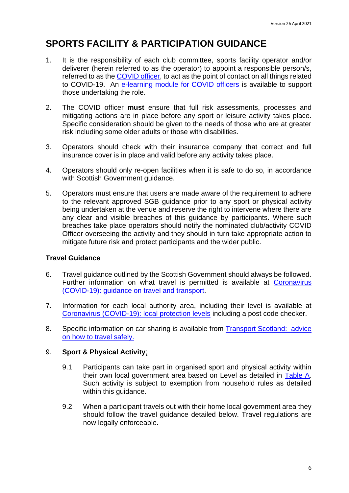## <span id="page-5-0"></span>**SPORTS FACILITY & PARTICIPATION GUIDANCE**

- 1. It is the responsibility of each club committee, sports facility operator and/or deliverer (herein referred to as the operator) to appoint a responsible person/s, referred to as the [COVID officer,](http://www.sportscotland.org.uk/media/5950/sportscotland-covid-officer.pdf) to act as the point of contact on all things related to COVID-19. An [e-learning module for COVID officers](https://rise.articulate.com/share/LlEWUj-o23H_4gC1AF002jdxdrCucQC0#/) is available to support those undertaking the role.
- <span id="page-5-2"></span>2. The COVID officer **must** ensure that full risk assessments, processes and mitigating actions are in place before any sport or leisure activity takes place. Specific consideration should be given to the needs of those who are at greater risk including some older adults or those with disabilities.
- 3. Operators should check with their insurance company that correct and full insurance cover is in place and valid before any activity takes place.
- 4. Operators should only re-open facilities when it is safe to do so, in accordance with Scottish Government guidance.
- 5. Operators must ensure that users are made aware of the requirement to adhere to the relevant approved SGB guidance prior to any sport or physical activity being undertaken at the venue and reserve the right to intervene where there are any clear and visible breaches of this guidance by participants. Where such breaches take place operators should notify the nominated club/activity COVID Officer overseeing the activity and they should in turn take appropriate action to mitigate future risk and protect participants and the wider public.

#### <span id="page-5-1"></span>**Travel Guidance**

- 6. Travel guidance outlined by the Scottish Government should always be followed. Further information on what travel is permitted is available at Coronavirus [\(COVID-19\): guidance on travel and transport.](https://www.gov.scot/publications/coronavirus-covid-19-guidance-on-travel-and-transport/)
- 7. Information for each local authority area, including their level is available at [Coronavirus \(COVID-19\): local protection levels](https://www.gov.scot/publications/coronavirus-covid-19-protection-levels/) including a post code checker.
- 8. Specific information on car sharing is available from **Transport Scotland:** advice [on how to travel safely.](http://www.transport.gov.scot/coronavirus-covid-19/transport-transition-plan/advice-on-how-to-travel-safely/#section-63888)

#### 9. **Sport & Physical Activity**;

- 9.1 Participants can take part in organised sport and physical activity within their own local government area based on Level as detailed in Table A. Such activity is subject to exemption from household rules as detailed within this guidance.
- 9.2 When a participant travels out with their home local government area they should follow the travel guidance detailed below. Travel regulations are now legally enforceable.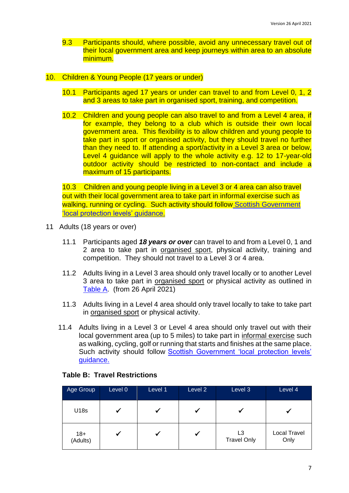- 9.3 Participants should, where possible, avoid any unnecessary travel out of their local government area and keep journeys within area to an absolute minimum.
- 10. Children & Young People (17 years or under)
	- 10.1 Participants aged 17 years or under can travel to and from Level 0, 1, 2 and 3 areas to take part in organised sport, training, and competition.
	- 10.2 Children and young people can also travel to and from a Level 4 area, if for example, they belong to a club which is outside their own local government area. This flexibility is to allow children and young people to take part in sport or organised activity, but they should travel no further than they need to. If attending a sport/activity in a Level 3 area or below, Level 4 guidance will apply to the whole activity e.g. 12 to 17-year-old outdoor activity should be restricted to non-contact and include a maximum of 15 participants.

10.3 Children and young people living in a Level 3 or 4 area can also travel out with their local government area to take part in informal exercise such as walking, running or cycling. Such activity should follow Scottish Government ['local protection levels' guidance.](https://www.gov.scot/publications/coronavirus-covid-19-protection-levels/pages/protection-levels-by-area/) 

- 11 Adults (18 years or over)
	- 11.1 Participants aged *18 years or over* can travel to and from a Level 0, 1 and 2 area to take part in organised sport, physical activity, training and competition. They should not travel to a Level 3 or 4 area.
	- 11.2 Adults living in a Level 3 area should only travel locally or to another Level 3 area to take part in organised sport or physical activity as outlined in Table A. (from 26 April 2021)
	- 11.3 Adults living in a Level 4 area should only travel locally to take to take part in organised sport or physical activity.
	- 11.4 Adults living in a Level 3 or Level 4 area should only travel out with their local government area (up to 5 miles) to take part in informal exercise such as walking, cycling, golf or running that starts and finishes at the same place. Such activity should follow Scottish Government 'local protection levels' [guidance.](https://www.gov.scot/publications/coronavirus-covid-19-stay-at-home-guidance/)

| Age Group         | Level 0 | Level 1 | Level 2 | Level 3                              | Level 4                     |
|-------------------|---------|---------|---------|--------------------------------------|-----------------------------|
| U18s              |         |         |         |                                      |                             |
| $18+$<br>(Adults) |         |         | ✔       | L <sub>3</sub><br><b>Travel Only</b> | <b>Local Travel</b><br>Only |

#### **Table B: Travel Restrictions**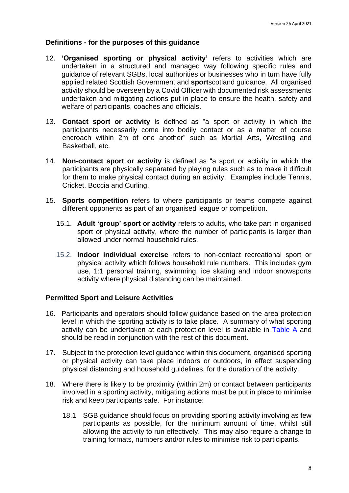#### <span id="page-7-0"></span>**Definitions - for the purposes of this guidance**

- 12. **'Organised sporting or physical activity'** refers to activities which are undertaken in a structured and managed way following specific rules and guidance of relevant SGBs, local authorities or businesses who in turn have fully applied related Scottish Government and **sport**scotland guidance. All organised activity should be overseen by a Covid Officer with documented risk assessments undertaken and mitigating actions put in place to ensure the health, safety and welfare of participants, coaches and officials.
- 13. **Contact sport or activity** is defined as "a sport or activity in which the participants necessarily come into bodily contact or as a matter of course encroach within 2m of one another" such as Martial Arts, Wrestling and Basketball, etc.
- 14. **Non-contact sport or activity** is defined as "a sport or activity in which the participants are physically separated by playing rules such as to make it difficult for them to make physical contact during an activity. Examples include Tennis, Cricket, Boccia and Curling.
- <span id="page-7-1"></span>15. **Sports competition** refers to where participants or teams compete against different opponents as part of an organised league or competition.
	- 15.1. **Adult 'group' sport or activity** refers to adults, who take part in organised sport or physical activity, where the number of participants is larger than allowed under normal household rules.
	- 15.2. **Indoor individual exercise** refers to non-contact recreational sport or physical activity which follows household rule numbers. This includes gym use, 1:1 personal training, swimming, ice skating and indoor snowsports activity where physical distancing can be maintained.

#### **Permitted Sport and Leisure Activities**

- 16. Participants and operators should follow guidance based on the area protection level in which the sporting activity is to take place. A summary of what sporting activity can be undertaken at each protection level is available in Table A and should be read in conjunction with the rest of this document.
- 17. Subject to the protection level guidance within this document, organised sporting or physical activity can take place indoors or outdoors, in effect suspending physical distancing and household guidelines, for the duration of the activity.
- 18. Where there is likely to be proximity (within 2m) or contact between participants involved in a sporting activity, mitigating actions must be put in place to minimise risk and keep participants safe. For instance:
	- 18.1 SGB guidance should focus on providing sporting activity involving as few participants as possible, for the minimum amount of time, whilst still allowing the activity to run effectively. This may also require a change to training formats, numbers and/or rules to minimise risk to participants.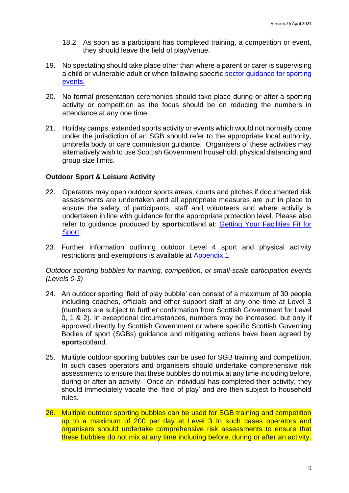- 18.2 As soon as a participant has completed training, a competition or event, they should leave the field of play/venue.
- 19. No spectating should take place other than where a parent or carer is supervising a child or vulnerable adult or when following specific [sector guidance for sporting](http://www.gov.scot/publications/coronavirus-covid-19-events-sector-guidance/)  [events.](http://www.gov.scot/publications/coronavirus-covid-19-events-sector-guidance/)
- 20. No formal presentation ceremonies should take place during or after a sporting activity or competition as the focus should be on reducing the numbers in attendance at any one time.
- 21. Holiday camps, extended sports activity or events which would not normally come under the jurisdiction of an SGB should refer to the appropriate local authority, umbrella body or care commission guidance. Organisers of these activities may alternatively wish to use Scottish Government household, physical distancing and group size limits.

#### <span id="page-8-0"></span>**Outdoor Sport & Leisure Activity**

- 22. Operators may open outdoor sports areas, courts and pitches if documented risk assessments are undertaken and all appropriate measures are put in place to ensure the safety of participants, staff and volunteers and where activity is undertaken in line with guidance for the appropriate protection level. Please also refer to guidance produced by **sport**scotland at: [Getting Your Facilities Fit for](http://www.sportscotland.org.uk/covid-19/getting-your-facilities-fit-for-sport/)  [Sport.](http://www.sportscotland.org.uk/covid-19/getting-your-facilities-fit-for-sport/)
- 23. Further information outlining outdoor Level 4 sport and physical activity restrictions and exemptions is available at Appendix 1.

*Outdoor sporting bubbles for training, competition, or small-scale participation events (Levels 0-3)*

- 24. An outdoor sporting 'field of play bubble' can consist of a maximum of 30 people including coaches, officials and other support staff at any one time at Level 3 (numbers are subject to further confirmation from Scottish Government for Level 0, 1 & 2). In exceptional circumstances, numbers may be increased, but only if approved directly by Scottish Government or where specific Scottish Governing Bodies of sport (SGBs) guidance and mitigating actions have been agreed by **sport**scotland.
- 25. Multiple outdoor sporting bubbles can be used for SGB training and competition. In such cases operators and organisers should undertake comprehensive risk assessments to ensure that these bubbles do not mix at any time including before, during or after an activity. Once an individual has completed their activity, they should immediately vacate the 'field of play' and are then subject to household rules.
- 26. Multiple outdoor sporting bubbles can be used for SGB training and competition up to a maximum of 200 per day at Level 3 In such cases operators and organisers should undertake comprehensive risk assessments to ensure that these bubbles do not mix at any time including before, during or after an activity.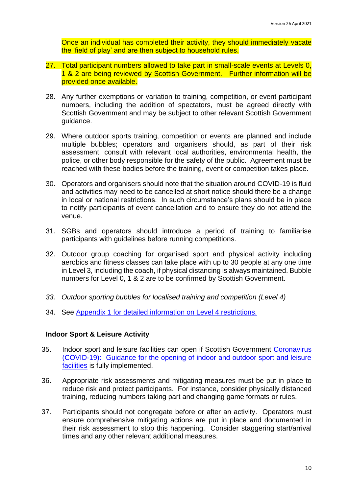Once an individual has completed their activity, they should immediately vacate the 'field of play' and are then subject to household rules.

- 27. Total participant numbers allowed to take part in small-scale events at Levels 0, 1 & 2 are being reviewed by Scottish Government. Further information will be provided once available.
- 28. Any further exemptions or variation to training, competition, or event participant numbers, including the addition of spectators, must be agreed directly with Scottish Government and may be subject to other relevant Scottish Government guidance.
- 29. Where outdoor sports training, competition or events are planned and include multiple bubbles; operators and organisers should, as part of their risk assessment, consult with relevant local authorities, environmental health, the police, or other body responsible for the safety of the public. Agreement must be reached with these bodies before the training, event or competition takes place.
- 30. Operators and organisers should note that the situation around COVID-19 is fluid and activities may need to be cancelled at short notice should there be a change in local or national restrictions. In such circumstance's plans should be in place to notify participants of event cancellation and to ensure they do not attend the venue.
- 31. SGBs and operators should introduce a period of training to familiarise participants with guidelines before running competitions.
- 32. Outdoor group coaching for organised sport and physical activity including aerobics and fitness classes can take place with up to 30 people at any one time in Level 3, including the coach, if physical distancing is always maintained. Bubble numbers for Level 0, 1 & 2 are to be confirmed by Scottish Government.
- *33. Outdoor sporting bubbles for localised training and competition (Level 4)*
- 34. See Appendix 1 for detailed information on Level 4 restrictions.

#### <span id="page-9-0"></span>**Indoor Sport & Leisure Activity**

- 35. Indoor sport and leisure facilities can open if Scottish Government [Coronavirus](http://www.gov.scot/publications/coronavirus-covid-19-guidance-on-sport-and-leisure-facilities)  [\(COVID-19\): Guidance for the opening of indoor and outdoor sport and leisure](http://www.gov.scot/publications/coronavirus-covid-19-guidance-on-sport-and-leisure-facilities)  [facilities](http://www.gov.scot/publications/coronavirus-covid-19-guidance-on-sport-and-leisure-facilities) is fully implemented.
- 36. Appropriate risk assessments and mitigating measures must be put in place to reduce risk and protect participants. For instance, consider physically distanced training, reducing numbers taking part and changing game formats or rules.
- 37. Participants should not congregate before or after an activity. Operators must ensure comprehensive mitigating actions are put in place and documented in their risk assessment to stop this happening. Consider staggering start/arrival times and any other relevant additional measures.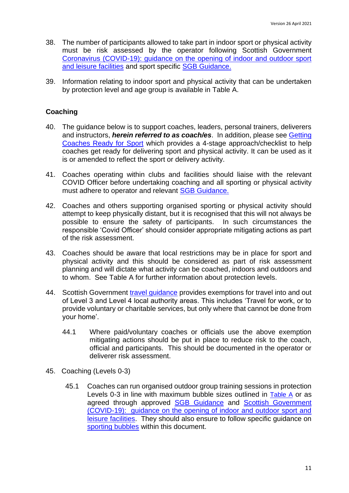- 38. The number of participants allowed to take part in indoor sport or physical activity must be risk assessed by the operator following Scottish Government [Coronavirus \(COVID-19\): guidance on the opening of indoor and outdoor sport](http://www.gov.scot/publications/coronavirus-covid-19-guidance-on-sport-and-leisure-facilities)  [and leisure facilities](http://www.gov.scot/publications/coronavirus-covid-19-guidance-on-sport-and-leisure-facilities) and sport specific [SGB Guidance.](https://sportscotland.org.uk/covid-19/latest-sport-and-physical-activity-guidance/)
- 39. Information relating to indoor sport and physical activity that can be undertaken by protection level and age group is available in Table A.

#### <span id="page-10-0"></span>**Coaching**

- 40. The guidance below is to support coaches, leaders, personal trainers, deliverers and instructors, *herein referred to as coach/es*. In addition, please see [Getting](http://www.sportscotland.org.uk/covid-19/getting-your-coaches-ready-for-sport/)  [Coaches Ready for Sport](http://www.sportscotland.org.uk/covid-19/getting-your-coaches-ready-for-sport/) which provides a 4-stage approach/checklist to help coaches get ready for delivering sport and physical activity. It can be used as it is or amended to reflect the sport or delivery activity.
- 41. Coaches operating within clubs and facilities should liaise with the relevant COVID Officer before undertaking coaching and all sporting or physical activity must adhere to operator and relevant [SGB Guidance.](https://sportscotland.org.uk/covid-19/latest-sport-and-physical-activity-guidance/)
- 42. Coaches and others supporting organised sporting or physical activity should attempt to keep physically distant, but it is recognised that this will not always be possible to ensure the safety of participants. In such circumstances the responsible 'Covid Officer' should consider appropriate mitigating actions as part of the risk assessment.
- 43. Coaches should be aware that local restrictions may be in place for sport and physical activity and this should be considered as part of risk assessment planning and will dictate what activity can be coached, indoors and outdoors and to whom. See Table A for further information about protection levels.
- 44. Scottish Government [travel guidance](https://www.gov.scot/publications/coronavirus-covid-19-guidance-on-travel-and-transport/) provides exemptions for travel into and out of Level 3 and Level 4 local authority areas. This includes 'Travel for work, or to provide voluntary or charitable services, but only where that cannot be done from your home'.
	- 44.1 Where paid/voluntary coaches or officials use the above exemption mitigating actions should be put in place to reduce risk to the coach, official and participants. This should be documented in the operator or deliverer risk assessment.
- 45. Coaching (Levels 0-3)
	- 45.1 Coaches can run organised outdoor group training sessions in protection Levels 0-3 in line with maximum bubble sizes outlined in Table A or as agreed through approved [SGB Guidance](https://sportscotland.org.uk/covid-19/latest-sport-and-physical-activity-guidance/) and [Scottish Government](http://www.gov.scot/publications/coronavirus-covid-19-guidance-on-sport-and-leisure-facilities)  [\(COVID-19\): guidance on the opening of indoor and outdoor sport and](http://www.gov.scot/publications/coronavirus-covid-19-guidance-on-sport-and-leisure-facilities)  [leisure facilities.](http://www.gov.scot/publications/coronavirus-covid-19-guidance-on-sport-and-leisure-facilities) They should also ensure to follow specific guidance on sporting bubbles within this document.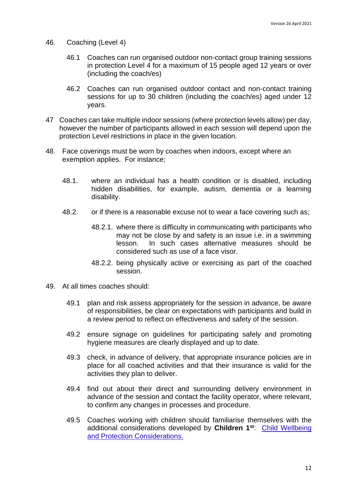- 46. Coaching (Level 4)
	- 46.1 Coaches can run organised outdoor non-contact group training sessions in protection Level 4 for a maximum of 15 people aged 12 years or over (including the coach/es)
	- 46.2 Coaches can run organised outdoor contact and non-contact training sessions for up to 30 children (including the coach/es) aged under 12 years.
- 47 Coaches can take multiple indoor sessions (where protection levels allow) per day, however the number of participants allowed in each session will depend upon the protection Level restrictions in place in the given location.
- 48. Face coverings must be worn by coaches when indoors, except where an exemption applies. For instance;
	- 48.1. where an individual has a health condition or is disabled, including hidden disabilities, for example, autism, dementia or a learning disability.
	- 48.2. or if there is a reasonable excuse not to wear a face covering such as;
		- 48.2.1. where there is difficulty in communicating with participants who may not be close by and safety is an issue i.e. in a swimming lesson. In such cases alternative measures should be considered such as use of a face visor.
		- 48.2.2. being physically active or exercising as part of the coached session.
- 49. At all times coaches should:
	- 49.1 plan and risk assess appropriately for the session in advance, be aware of responsibilities, be clear on expectations with participants and build in a review period to reflect on effectiveness and safety of the session.
	- 49.2 ensure signage on guidelines for participating safely and promoting hygiene measures are clearly displayed and up to date.
	- 49.3 check, in advance of delivery, that appropriate insurance policies are in place for all coached activities and that their insurance is valid for the activities they plan to deliver.
	- 49.4 find out about their direct and surrounding delivery environment in advance of the session and contact the facility operator, where relevant, to confirm any changes in processes and procedure.
	- 49.5 Coaches working with children should familiarise themselves with the additional considerations developed by **Children 1st**: [Child Wellbeing](http://www.sportscotland.org.uk/media/5774/cyp-return-to-sport-after-covid-19.pdf)  [and Protection Considerations.](http://www.sportscotland.org.uk/media/5774/cyp-return-to-sport-after-covid-19.pdf)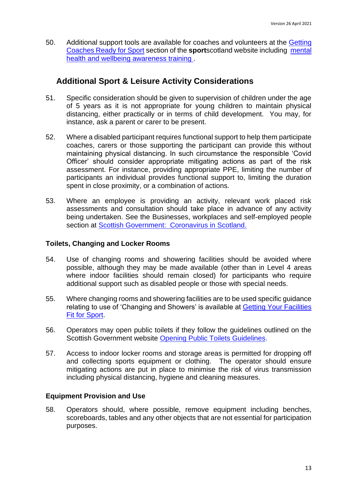50. Additional support tools are available for coaches and volunteers at the [Getting](https://sportscotland.org.uk/covid-19/getting-coaches-ready-for-sport/)  [Coaches Ready for Sport](https://sportscotland.org.uk/covid-19/getting-coaches-ready-for-sport/) section of the **sport**scotland website including [mental](https://sportscotland.info/mentalhealth/#/)  [health and wellbeing awareness training .](https://sportscotland.info/mentalhealth/#/)

### **Additional Sport & Leisure Activity Considerations**

- 51. Specific consideration should be given to supervision of children under the age of 5 years as it is not appropriate for young children to maintain physical distancing, either practically or in terms of child development. You may, for instance, ask a parent or carer to be present.
- 52. Where a disabled participant requires functional support to help them participate coaches, carers or those supporting the participant can provide this without maintaining physical distancing. In such circumstance the responsible 'Covid Officer' should consider appropriate mitigating actions as part of the risk assessment. For instance, providing appropriate PPE, limiting the number of participants an individual provides functional support to, limiting the duration spent in close proximity, or a combination of actions.
- 53. Where an employee is providing an activity, relevant work placed risk assessments and consultation should take place in advance of any activity being undertaken. See the Businesses, workplaces and self-employed people section at [Scottish Government: Coronavirus in Scotland.](http://www.gov.scot/coronavirus-covid-19/)

#### **Toilets, Changing and Locker Rooms**

- 54. Use of changing rooms and showering facilities should be avoided where possible, although they may be made available (other than in Level 4 areas where indoor facilities should remain closed) for participants who require additional support such as disabled people or those with special needs.
- 55. Where changing rooms and showering facilities are to be used specific guidance relating to use of 'Changing and Showers' is available at [Getting Your Facilities](http://www.sportscotland.org.uk/covid-19/getting-your-facilities-fit-for-sport/)  [Fit for Sport.](http://www.sportscotland.org.uk/covid-19/getting-your-facilities-fit-for-sport/)
- 56. Operators may open public toilets if they follow the guidelines outlined on the Scottish Government website [Opening Public Toilets Guidelines.](http://www.gov.scot/publications/coronavirus-covid-19-public-and-customer-toilets-guidance/pages/overview/)
- 57. Access to indoor locker rooms and storage areas is permitted for dropping off and collecting sports equipment or clothing. The operator should ensure mitigating actions are put in place to minimise the risk of virus transmission including physical distancing, hygiene and cleaning measures.

#### **Equipment Provision and Use**

58. Operators should, where possible, remove equipment including benches, scoreboards, tables and any other objects that are not essential for participation purposes.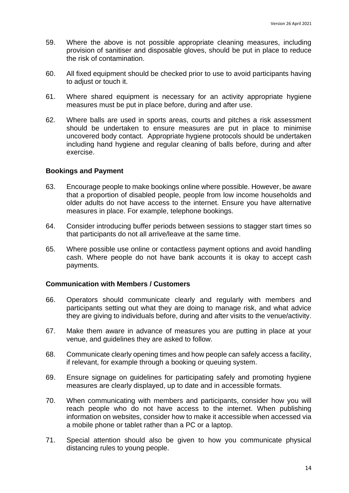- 59. Where the above is not possible appropriate cleaning measures, including provision of sanitiser and disposable gloves, should be put in place to reduce the risk of contamination.
- 60. All fixed equipment should be checked prior to use to avoid participants having to adjust or touch it.
- 61. Where shared equipment is necessary for an activity appropriate hygiene measures must be put in place before, during and after use.
- 62. Where balls are used in sports areas, courts and pitches a risk assessment should be undertaken to ensure measures are put in place to minimise uncovered body contact. Appropriate hygiene protocols should be undertaken including hand hygiene and regular cleaning of balls before, during and after exercise.

#### **Bookings and Payment**

- 63. Encourage people to make bookings online where possible. However, be aware that a proportion of disabled people, people from low income households and older adults do not have access to the internet. Ensure you have alternative measures in place. For example, telephone bookings.
- 64. Consider introducing buffer periods between sessions to stagger start times so that participants do not all arrive/leave at the same time.
- 65. Where possible use online or contactless payment options and avoid handling cash. Where people do not have bank accounts it is okay to accept cash payments.

#### **Communication with Members / Customers**

- 66. Operators should communicate clearly and regularly with members and participants setting out what they are doing to manage risk, and what advice they are giving to individuals before, during and after visits to the venue/activity.
- 67. Make them aware in advance of measures you are putting in place at your venue, and guidelines they are asked to follow.
- 68. Communicate clearly opening times and how people can safely access a facility, if relevant, for example through a booking or queuing system.
- 69. Ensure signage on guidelines for participating safely and promoting hygiene measures are clearly displayed, up to date and in accessible formats.
- 70. When communicating with members and participants, consider how you will reach people who do not have access to the internet. When publishing information on websites, consider how to make it accessible when accessed via a mobile phone or tablet rather than a PC or a laptop.
- 71. Special attention should also be given to how you communicate physical distancing rules to young people.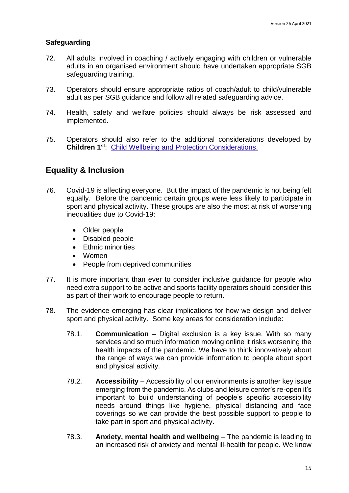#### **Safeguarding**

- 72. All adults involved in coaching / actively engaging with children or vulnerable adults in an organised environment should have undertaken appropriate SGB safeguarding training.
- 73. Operators should ensure appropriate ratios of coach/adult to child/vulnerable adult as per SGB guidance and follow all related safeguarding advice.
- 74. Health, safety and welfare policies should always be risk assessed and implemented.
- 75. Operators should also refer to the additional considerations developed by **Children 1st**: [Child Wellbeing and Protection Considerations.](http://www.sportscotland.org.uk/media/5774/cyp-return-to-sport-after-covid-19.pdf)

#### **Equality & Inclusion**

- 76. Covid-19 is affecting everyone. But the impact of the pandemic is not being felt equally. Before the pandemic certain groups were less likely to participate in sport and physical activity. These groups are also the most at risk of worsening inequalities due to Covid-19:
	- Older people
	- Disabled people
	- Ethnic minorities
	- Women
	- People from deprived communities
- 77. It is more important than ever to consider inclusive guidance for people who need extra support to be active and sports facility operators should consider this as part of their work to encourage people to return.
- 78. The evidence emerging has clear implications for how we design and deliver sport and physical activity. Some key areas for consideration include:
	- 78.1. **Communication** Digital exclusion is a key issue. With so many services and so much information moving online it risks worsening the health impacts of the pandemic. We have to think innovatively about the range of ways we can provide information to people about sport and physical activity.
	- 78.2. **Accessibility** Accessibility of our environments is another key issue emerging from the pandemic. As clubs and leisure center's re-open it's important to build understanding of people's specific accessibility needs around things like hygiene, physical distancing and face coverings so we can provide the best possible support to people to take part in sport and physical activity.
	- 78.3. **Anxiety, mental health and wellbeing** The pandemic is leading to an increased risk of anxiety and mental ill-health for people. We know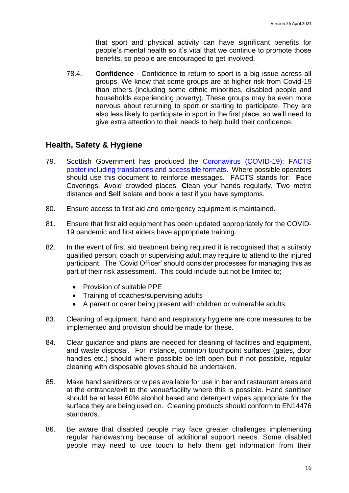that sport and physical activity can have significant benefits for people's mental health so it's vital that we continue to promote those benefits, so people are encouraged to get involved.

78.4. **Confidence** - Confidence to return to sport is a big issue across all groups. We know that some groups are at higher risk from Covid-19 than others (including some ethnic minorities, disabled people and households experiencing poverty). These groups may be even more nervous about returning to sport or starting to participate. They are also less likely to participate in sport in the first place, so we'll need to give extra attention to their needs to help build their confidence.

### **Health, Safety & Hygiene**

- 79. Scottish Government has produced the [Coronavirus \(COVID-19\): FACTS](https://www.gov.scot/binaries/content/documents/govscot/publications/advice-and-guidance/2020/08/coronavirus-covid-19-facts-poster-translations/documents/english/english/govscot%3Adocument/20-21%2B-%2BCoronavirus%2B-%2BTranslations%2B-%2BFACTS%2BPoster%2B-%2BEnglish%2B-%2B9%2BJuly%2B2020.pdf?forceDownload=true)  [poster including translations and accessible formats.](https://www.gov.scot/binaries/content/documents/govscot/publications/advice-and-guidance/2020/08/coronavirus-covid-19-facts-poster-translations/documents/english/english/govscot%3Adocument/20-21%2B-%2BCoronavirus%2B-%2BTranslations%2B-%2BFACTS%2BPoster%2B-%2BEnglish%2B-%2B9%2BJuly%2B2020.pdf?forceDownload=true) Where possible operators should use this document to reinforce messages. FACTS stands for: **F**ace Coverings, **A**void crowded places, **C**lean your hands regularly, **T**wo metre distance and **S**elf isolate and book a test if you have symptoms.
- 80. Ensure access to first aid and emergency equipment is maintained.
- 81. Ensure that first aid equipment has been updated appropriately for the COVID-19 pandemic and first aiders have appropriate training.
- 82. In the event of first aid treatment being required it is recognised that a suitably qualified person, coach or supervising adult may require to attend to the injured participant. The 'Covid Officer' should consider processes for managing this as part of their risk assessment. This could include but not be limited to;
	- Provision of suitable PPE
	- Training of coaches/supervising adults
	- A parent or carer being present with children or vulnerable adults.
- 83. Cleaning of equipment, hand and respiratory hygiene are core measures to be implemented and provision should be made for these.
- 84. Clear guidance and plans are needed for cleaning of facilities and equipment, and waste disposal. For instance, common touchpoint surfaces (gates, door handles etc.) should where possible be left open but if not possible, regular cleaning with disposable gloves should be undertaken.
- 85. Make hand sanitizers or wipes available for use in bar and restaurant areas and at the entrance/exit to the venue/facility where this is possible. Hand sanitiser should be at least 60% alcohol based and detergent wipes appropriate for the surface they are being used on. Cleaning products should conform to EN14476 standards.
- 86. Be aware that disabled people may face greater challenges implementing regular handwashing because of additional support needs. Some disabled people may need to use touch to help them get information from their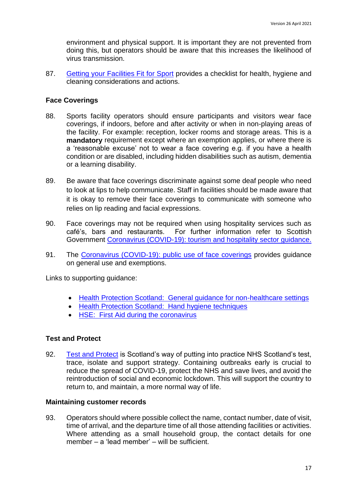environment and physical support. It is important they are not prevented from doing this, but operators should be aware that this increases the likelihood of virus transmission.

87. [Getting your Facilities Fit for Sport](http://www.sportscotland.org.uk/covid-19/getting-your-facilities-fit-for-sport/) provides a checklist for health, hygiene and cleaning considerations and actions.

#### **Face Coverings**

- 88. Sports facility operators should ensure participants and visitors wear face coverings, if indoors, before and after activity or when in non-playing areas of the facility. For example: reception, locker rooms and storage areas. This is a **mandatory** requirement except where an exemption applies, or where there is a 'reasonable excuse' not to wear a face covering e.g. if you have a health condition or are disabled, including hidden disabilities such as autism, dementia or a learning disability.
- 89. Be aware that face coverings discriminate against some deaf people who need to look at lips to help communicate. Staff in facilities should be made aware that it is okay to remove their face coverings to communicate with someone who relies on lip reading and facial expressions.
- 90. Face coverings may not be required when using hospitality services such as café's, bars and restaurants. For further information refer to Scottish Government [Coronavirus \(COVID-19\): tourism and hospitality sector guidance.](http://www.gov.scot/publications/coronavirus-covid-19-tourism-and-hospitality-sector-guidance/pages/hospitality-statutory-guidance/)
- 91. The [Coronavirus \(COVID-19\): public use of face coverings](https://www.gov.scot/publications/coronavirus-covid-19-phase-3-staying-safe-and-protecting-others/pages/face-coverings/) provides guidance on general use and exemptions.

Links to supporting guidance:

- [Health Protection Scotland: General guidance for non-healthcare settings](http://www.hps.scot.nhs.uk/web-resources-container/covid-19-guidance-for-non-healthcare-settings/)
- [Health Protection Scotland: Hand hygiene techniques](http://www.hps.scot.nhs.uk/a-to-z-of-topics/hand-hygiene/)
- [HSE: First Aid during the coronavirus](http://www.hse.gov.uk/coronavirus/first-aid-and-medicals/first-aid-certificate-coronavirus.htm)

#### **Test and Protect**

92. [Test and Protect](https://www.nhsinform.scot/campaigns/test-and-protect) is Scotland's way of putting into practice NHS Scotland's test, trace, isolate and support strategy. Containing outbreaks early is crucial to reduce the spread of COVID-19, protect the NHS and save lives, and avoid the reintroduction of social and economic lockdown. This will support the country to return to, and maintain, a more normal way of life.

#### **Maintaining customer records**

93. Operators should where possible collect the name, contact number, date of visit, time of arrival, and the departure time of all those attending facilities or activities. Where attending as a small household group, the contact details for one member – a 'lead member' – will be sufficient.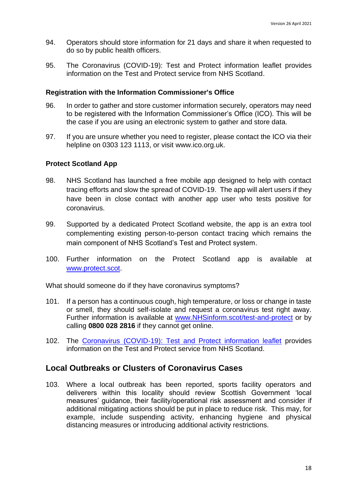- 94. Operators should store information for 21 days and share it when requested to do so by public health officers.
- 95. The [Coronavirus \(COVID-19\): Test and Protect information leaflet](https://www.gov.scot/publications/coronavirus-covid-19-test-and-protect-coronavirus-service/) provides information on the Test and Protect service from NHS Scotland.

#### **Registration with the Information Commissioner's Office**

- 96. In order to gather and store customer information securely, operators may need to be registered with the Information Commissioner's Office (ICO). This will be the case if you are using an electronic system to gather and store data.
- 97. If you are unsure whether you need to register, please contact the ICO via their helpline on 0303 123 1113, or visit [www.ico.org.uk.](http://www.ico.org.uk/)

#### **Protect Scotland App**

- 98. NHS Scotland has launched a free mobile app designed to help with contact tracing efforts and slow the spread of COVID-19. The app will alert users if they have been in close contact with another app user who tests positive for coronavirus.
- 99. Supported by a dedicated Protect Scotland website, the app is an extra tool complementing existing person-to-person contact tracing which remains the main component of NHS Scotland's Test and Protect system.
- 100. Further information on the Protect Scotland app is available at [www.protect.scot.](http://www.protect.scot/)

What should someone do if they have coronavirus symptoms?

- 101. If a person has a continuous cough, high temperature, or loss or change in taste or smell, they should self-isolate and request a coronavirus test right away. Further information is available at [www.NHSinform.scot/test-and-protect](http://www.nhsinform.scot/test-and-protect) or by calling **0800 028 2816** if they cannot get online.
- 102. The [Coronavirus \(COVID-19\): Test and Protect information leaflet](https://www.gov.scot/publications/coronavirus-covid-19-test-and-protect-coronavirus-service/) provides information on the Test and Protect service from NHS Scotland.

#### **Local Outbreaks or Clusters of Coronavirus Cases**

103. Where a local outbreak has been reported, sports facility operators and deliverers within this locality should review Scottish Government 'local measures' guidance, their facility/operational risk assessment and consider if additional mitigating actions should be put in place to reduce risk. This may, for example, include suspending activity, enhancing hygiene and physical distancing measures or introducing additional activity restrictions.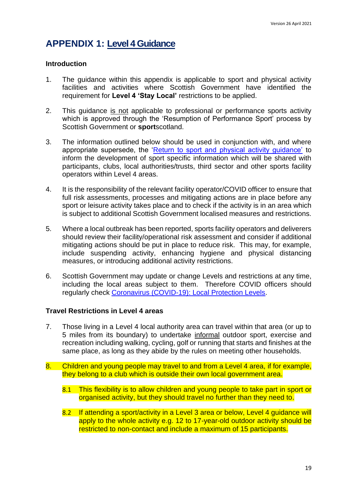### <span id="page-18-0"></span>**APPENDIX 1: Level 4 Guidance**

#### **Introduction**

- 1. The guidance within this appendix is applicable to sport and physical activity facilities and activities where Scottish Government have identified the requirement for **Level 4 'Stay Local'** restrictions to be applied.
- 2. This guidance is not applicable to professional or performance sports activity which is approved through the 'Resumption of Performance Sport' process by Scottish Government or **sport**scotland.
- 3. The information outlined below should be used in conjunction with, and where appropriate supersede, the 'Return to sport and physical activity guidance' to inform the development of sport specific information which will be shared with participants, clubs, local authorities/trusts, third sector and other sports facility operators within Level 4 areas.
- 4. It is the responsibility of the relevant facility operator/COVID officer to ensure that full risk assessments, processes and mitigating actions are in place before any sport or leisure activity takes place and to check if the activity is in an area which is subject to additional Scottish Government localised measures and restrictions.
- 5. Where a local outbreak has been reported, sports facility operators and deliverers should review their facility/operational risk assessment and consider if additional mitigating actions should be put in place to reduce risk. This may, for example, include suspending activity, enhancing hygiene and physical distancing measures, or introducing additional activity restrictions.
- 6. Scottish Government may update or change Levels and restrictions at any time, including the local areas subject to them. Therefore COVID officers should regularly check [Coronavirus \(COVID-19\): Local Protection Levels.](http://www.gov.scot/publications/coronavirus-covid-19-local-measures/)

#### **Travel Restrictions in Level 4 areas**

- 7. Those living in a Level 4 local authority area can travel within that area (or up to 5 miles from its boundary) to undertake informal outdoor sport, exercise and recreation including walking, cycling, golf or running that starts and finishes at the same place, as long as they abide by the rules on meeting other households.
- 8. Children and young people may travel to and from a Level 4 area, if for example, they belong to a club which is outside their own local government area.
	- 8.1 This flexibility is to allow children and young people to take part in sport or organised activity, but they should travel no further than they need to.
	- 8.2 If attending a sport/activity in a Level 3 area or below, Level 4 guidance will apply to the whole activity e.g. 12 to 17-year-old outdoor activity should be restricted to non-contact and include a maximum of 15 participants.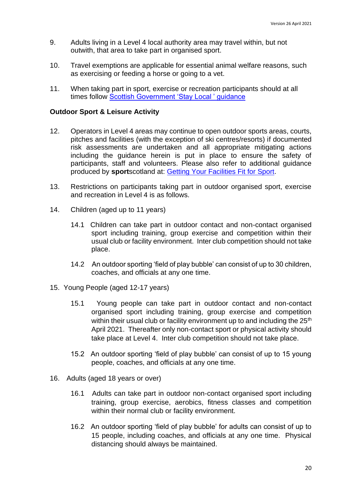- 9. Adults living in a Level 4 local authority area may travel within, but not outwith, that area to take part in organised sport.
- 10. Travel exemptions are applicable for essential animal welfare reasons, such as exercising or feeding a horse or going to a vet.
- 11. When taking part in sport, exercise or recreation participants should at all times follow [Scottish Government 'Stay Local ' guidance](https://www.gov.scot/publications/coronavirus-covid-19-stay-at-home-guidance/)

#### **Outdoor Sport & Leisure Activity**

- 12. Operators in Level 4 areas may continue to open outdoor sports areas, courts, pitches and facilities (with the exception of ski centres/resorts) if documented risk assessments are undertaken and all appropriate mitigating actions including the guidance herein is put in place to ensure the safety of participants, staff and volunteers. Please also refer to additional guidance produced by **sport**scotland at: [Getting Your Facilities Fit for Sport.](http://www.sportscotland.org.uk/covid-19/getting-your-facilities-fit-for-sport/)
- 13. Restrictions on participants taking part in outdoor organised sport, exercise and recreation in Level 4 is as follows.
- 14. Children (aged up to 11 years)
	- 14.1 Children can take part in outdoor contact and non-contact organised sport including training, group exercise and competition within their usual club or facility environment. Inter club competition should not take place.
	- 14.2 An outdoor sporting 'field of play bubble' can consist of up to 30 children, coaches, and officials at any one time.
- 15. Young People (aged 12-17 years)
	- 15.1 Young people can take part in outdoor contact and non-contact organised sport including training, group exercise and competition within their usual club or facility environment up to and including the 25<sup>th</sup> April 2021. Thereafter only non-contact sport or physical activity should take place at Level 4. Inter club competition should not take place.
	- 15.2 An outdoor sporting 'field of play bubble' can consist of up to 15 young people, coaches, and officials at any one time.
- 16. Adults (aged 18 years or over)
	- 16.1 Adults can take part in outdoor non-contact organised sport including training, group exercise, aerobics, fitness classes and competition within their normal club or facility environment.
	- 16.2 An outdoor sporting 'field of play bubble' for adults can consist of up to 15 people, including coaches, and officials at any one time. Physical distancing should always be maintained.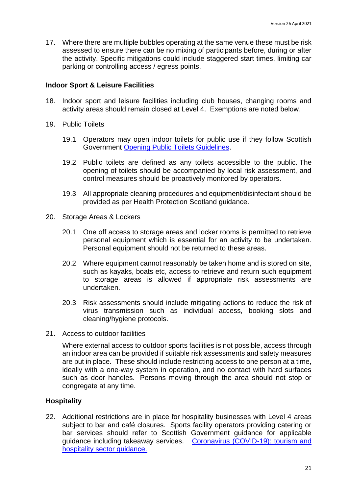17. Where there are multiple bubbles operating at the same venue these must be risk assessed to ensure there can be no mixing of participants before, during or after the activity. Specific mitigations could include staggered start times, limiting car parking or controlling access / egress points.

#### **Indoor Sport & Leisure Facilities**

- 18. Indoor sport and leisure facilities including club houses, changing rooms and activity areas should remain closed at Level 4. Exemptions are noted below.
- 19. Public Toilets
	- 19.1 Operators may open indoor toilets for public use if they follow Scottish Government [Opening Public Toilets Guidelines.](https://protect-eu.mimecast.com/s/aBXuCNx63fxoygsmfSPz?domain=gov.scot/)
	- 19.2 Public toilets are defined as any toilets accessible to the public. The opening of toilets should be accompanied by local risk assessment, and control measures should be proactively monitored by operators.
	- 19.3 All appropriate cleaning procedures and equipment/disinfectant should be provided as per Health Protection Scotland guidance.
- 20. Storage Areas & Lockers
	- 20.1 One off access to storage areas and locker rooms is permitted to retrieve personal equipment which is essential for an activity to be undertaken. Personal equipment should not be returned to these areas.
	- 20.2 Where equipment cannot reasonably be taken home and is stored on site, such as kayaks, boats etc, access to retrieve and return such equipment to storage areas is allowed if appropriate risk assessments are undertaken.
	- 20.3 Risk assessments should include mitigating actions to reduce the risk of virus transmission such as individual access, booking slots and cleaning/hygiene protocols.
- 21. Access to outdoor facilities

Where external access to outdoor sports facilities is not possible, access through an indoor area can be provided if suitable risk assessments and safety measures are put in place. These should include restricting access to one person at a time, ideally with a one-way system in operation, and no contact with hard surfaces such as door handles. Persons moving through the area should not stop or congregate at any time.

#### **Hospitality**

22. Additional restrictions are in place for hospitality businesses with Level 4 areas subject to bar and café closures. Sports facility operators providing catering or bar services should refer to Scottish Government guidance for applicable guidance including takeaway services. Coronavirus (COVID-19): tourism and [hospitality sector guidance.](http://www.gov.scot/publications/coronavirus-covid-19-tourism-and-hospitality-sector-guidance/pages/hospitality-statutory-guidance/)